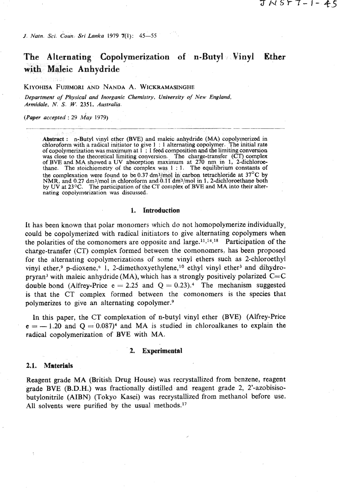*J. Natn. Sci. Coun. Sri Lanka* 1979 **7**(1): 45-55

# The Alternating Copolymerization of n-Butyl Vinyl Ether **with Maleic Anhydride**

KIYOHISA FUJIMORI AND NANDA A. WICKRAMASINGHE

*Department of Physical* **and** *Inorganic Chemistry, University of New England, Armidale, N. S. W. 2351. Australia.* 

*(Paper accepted : 29 May 1979)* 

Abstract : n-Butyl vinyl ether (BVE) and maleic anhydride (MA) copolymerized in chloroform with a radical initiator to give  $1 : 1$  alternating copolymer. The initial rate of copolymerization was maximum at  $1 : 1$  feed composition and the limiting conversion was close to the theoretical limiting conversion. The charge-transfer (CT) complex of BVE and MA showed a UV absorption maximum at 270 nm in 1, 2-dichloroethane. The stoichiometry of the complex was  $1 : 1$ . The equilibrium constants of the complexation were found to be 0.37 dm<sup>3</sup>/mol in carbon tetrachloride at  $37^{\circ}$ C by NMR, and 0.27 dm<sup>3</sup>/mol in chloroform and 0.11 dm<sup>3</sup>/mol in 1, 2-dichloroethane both by UV at 23<sup>o</sup>C. The participation of the CT complex of BVE and MA into their alternating copolymerization was discussed.

#### **1. Introduction**

It has been known that polar monomers which do not homopolymerize individually, could be copolymerized with radical initiators to give alternating copolymers when the polarities of the comonomers are opposite and large.<sup>11,14,18</sup> Participation of the charge-transfer (CT) complex formed between the comonomers, has been proposed for the alternating copolymerizations of some vinyl ethers such as Zchloroethyl vinyl ether,<sup>9</sup> p-dioxene,<sup>6</sup> 1, 2-dimethoxyethylene,<sup>10</sup> ethyl vinyl ether<sup>3</sup> and dihydropryran<sup>3</sup> with maleic anhydride (MA), which has a strongly positively polarized  $C=C$ double bond (Alfrey-Price  $e = 2.25$  and  $Q = 0.23$ ).<sup>4</sup> The mechanism suggested is that the CT complex formed between the comonomers is the species that polymerizes to give an alternating copolymer.<sup>9</sup>

In this paper, the CT complexation of n-butyl vinyl ether (BVE) (Alfrey-Price  $e = -1.20$  and  $Q = 0.087$ <sup>4</sup> and MA is studied in chloroalkanes to explain the radical copolymerization of BVE with MA.

#### **2. Experimental**

### **2.1. Materials**

Reagent grade MA (British Drug House) was recrystallized from benzene, reagent grade BVE (B.D.H.) was fractionally distilled and reagent grade 2, 2'-azobisisobutylonitrile (AIBN) (Tokyo Kasei) was recrystallized from methanol before use. All solvents were purified by the usual methods.<sup>17</sup>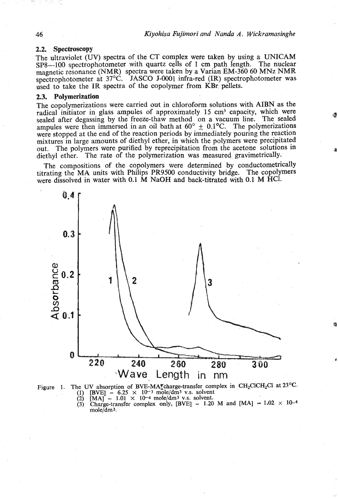# **2.2. Spectroscopy**

The ultraviolet **(UV)** spectra of the CT complex were taken by using a UNICAM **SP8-100** spectrophotometer with quartz cells of **1** cm path length. The nuclear magnetic resonance (NMR) spectra were taken by a Varian EM-360 60 **MNz** NMR spectrophotometer at 37<sup>o</sup>C. JASCO J-0001 infra-red **(IR)** spectrophotometer was used to take the **IR** spectra of the copolymer from **KBr.** pellets.

# **2.3. Polymerization**

The copolymerizations were carried out in chloroform solutions with AIBN as the radical initiator in glass ampules of approximately **15 cm3** capacity, which were sealed after degassing by the freeze-thaw method on a vacuum line. The sealed ampules were then immersed in an oil bath at  $60^{\circ} \pm 0.1^{\circ}$ C. The polymerizations were stopped at the end of the reaction periods by immediately pouring the reaction mixtures in large amounts of diethyl ether, in which the polymers were precipitated out. The polymers were purified by reprecipitation from the acetone solutions in diethyl ether. The rate of the polymerization was measured gravimetrically.

The compositions of the copolymers were determined by conductometrically titrating the MA units with Philips **PR9500** conductivity bridge. The copolymers were dissolved in water with 0.1 M NaOH and back-titrated with 0.1 M HCl.



Figure 1. The UV absorption of BVE-MA<sup>F</sup>charge-transfer complex in CH<sub>2</sub>ClCH<sub>2</sub>Cl at 23<sup>o</sup>C. (1)  $\text{[BVE]} = 6.25 \times 10^{-3} \text{ mole/dm}^3 \text{ v.s. solvent}$ <br>
(2)  $\text{[MA]} = 1.01 \times 10^{-4} \text{ mole/dm}^3 \text{ v.s. solvent}$ .<br>
(3) Charge-transfer complex only,  $\text{[BVE]} = 1.20 \text{ M and } \text{[MA]} - 1.02 \times 10^{-4}$ 

mole/dm3.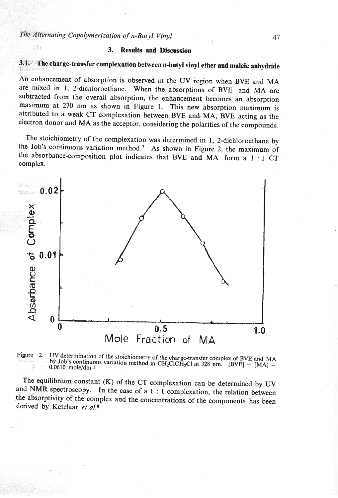$(1)$ 

# 3. Results and Discussion

# **3.1.** ' The charge-transfer complexation between n-butyl vinyl ether and maleic anhydride

An enhancement of absorption is observed in the **UV** region when **BVE** and **MA**  'are mixed in 1, 2-dichloroethane. When the absorptions of **BVE** and **MA** are subtracted from the overall absorption, the enhancement becomes an absorption maximum at 270 **nrn** as shown in Figure 1. This new absorption maximum is attributed to a weak CT complexation between **BVE** and MA, **BVE** acting as the electron donor and **MA** as the acceptor, considering the polarities of the compounds.

The stoichiometry of the complexation was determined in 1, 2-dichloroethane by the Job's continuous variation method.' As shown in Figure 2, the maximum of the absorbance-composition plot indicates that **BVE** and MA form a 1 : 1 CT complex.





The equilibrium constant (K) of the **CT** complexation can be determined by W and NMR spectroscopy. In the case of a  $1 : 1$  complexation, the relation between the absorptivity of the complex and the concentrations of the components has been derived by Ketelaar et **a1.8**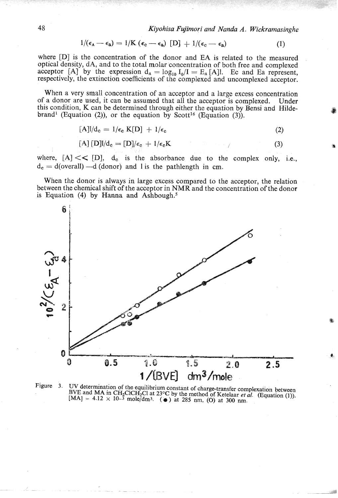$$
1/(\epsilon_{\mathbf{A}} - \epsilon_{\mathbf{a}}) = 1/K (\epsilon_{\mathbf{c}} - \epsilon_{\mathbf{a}}) [D] + 1/(\epsilon_{\mathbf{c}} - \epsilon_{\mathbf{a}})
$$
 (1)

where [D] is the concentration of the donor and EA is related to the measured optical density, dA, and to the total molar concentration of both free and complexed optical defisity, d.a., and to the total molar concentration of both free and complexed<br>acceptor [A] by the expression  $d_A = log_{10} I_0/I = E_A$  [A]l. Ec and Ea represent, respectively, the extinction coefficients of the complexed and uncomplexed acceptor.

When a very small concentration of an acceptor and a large excess concentration of a donor are used, it can be assumed that all the acceptor is complexed. Under this condition, K can be determined through either the equation by Bensi and Hildebrand<sup>1</sup> (Equation (2)), or the equation by Scott<sup>16</sup> (Equation  $(3)$ ).

$$
[A]|/d_c = 1/\epsilon_c K[D] + 1/\epsilon_c \tag{2}
$$

$$
[\mathbf{A}][\mathbf{D}]]/\mathbf{d}_{\mathbf{c}} = [\mathbf{D}]/\epsilon_{\mathbf{c}} + 1/\epsilon_{\mathbf{c}}\mathbf{K} \tag{3}
$$

where,  $[A] \ll \sim [D]$ ,  $d_e$  is the absorbance due to the complex only, i.e.,  $d_c = d$ (overall)  $-d$  (donor) and l is the pathlength in cm.

When the donor is always in large excess compared to the acceptor, the relation between the chemical shift of the acceptor in NMR and the concentration of the donor is Equation  $(4)$  by Hanna and Ashbough.<sup>5</sup>



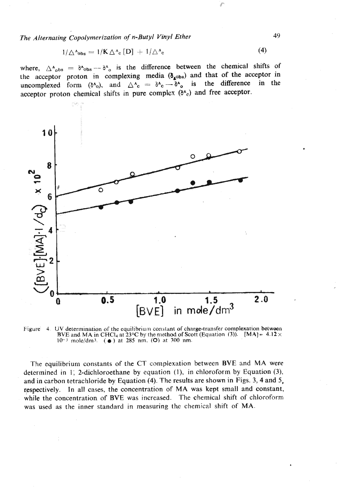The Alternating Copolymerization of n-Butyl Vinyl Ether **49** 

$$
1/\triangle^{\Lambda}{}_{\text{obs}} = 1/\mathbf{K} \triangle^{\Lambda}{}_{\text{c}} \left[ \mathbf{D} \right] + 1/\triangle^{\Lambda}{}_{\text{c}} \tag{4}
$$

where,  $\Delta_{\text{obs}}^A = \delta_{\text{obs}}^A - \delta_{\text{obs}}^A$  is the difference between the chemical shifts of  $\begin{bmatrix} 1 & 0 \\ 0 & 0 \end{bmatrix}$  or proton in complexing media  $(\delta_{\text{obs}})$  and that of the acceptor in here,  $\Delta^4_{\text{obs}} = \delta^4_{\text{obs}} - \delta^4_{\text{o}}$  is the difference between the chemical shifts of<br>ine acceptor proton in complexing media ( $\delta_{\text{a}^{obs}}$ ) and that of the acceptor in<br>neomplexed form ( $\delta^4_{\text{o}}$ ), and  $\Delta^4_{\text{c}} = \$ ceptor proton chemical shifts in pure complex  $(\delta^A c)$  and free acceptor.



**Figure** 4. UV determination of the equilibrium constant of charge-transfer complexation between **RVE and MA in CHCl4 at 23°C by the method of Scott (Equation (3)).**  $[MA] = 4.12 \times 10^{-3}$  mole/dm3.  $(A)$  at 285 nm,  $(O)$  at 300 nm.

'The equilibrium constants of the CT complexation between BVE and MA were determined in 1; 2-dichloroethane by equation **(I),** in chloroform by Equation **(3),**  and in carbon tetrachloride by Equation (4). The results are shown in Figs. 3, 4 and 5, respectively. In all cases, the concentration of MA was kept small and constant, while the concentration of BVE was increased. The chemical shift of chloroform was used as the inner standard in measuring thc chemical shift of MA.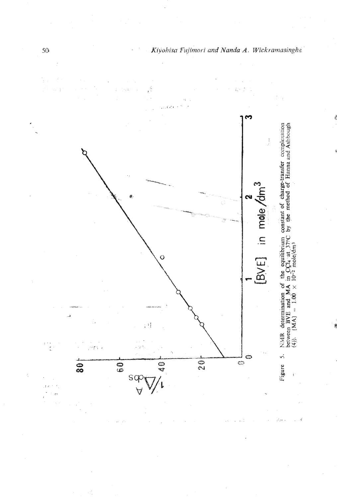

 $50<sup>5</sup>$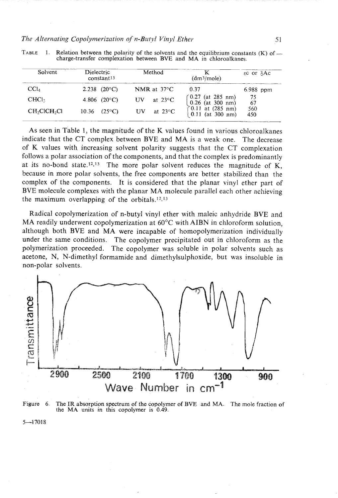# *The Alternating Copolymerization of n-Butyl Vinyl Ether* 51

| Solvent                              | Dielectric<br>constant <sup>15</sup> | Method                  | ҡ<br>(dm <sup>3</sup> /mole)                  | $\epsilon$ c or $\delta$ Ac |
|--------------------------------------|--------------------------------------|-------------------------|-----------------------------------------------|-----------------------------|
| $\rm CCl_4$                          | 2.238 $(20^{\circ}C)$                | NMR at $37^{\circ}$ C   | 0.37                                          | $6.988$ ppm                 |
| CHCl <sub>3</sub>                    | 4.806 $(20^{\circ}C)$                | at $23^{\circ}$ C<br>UV | $\int 0.27$ (at 285 nm)<br>$0.26$ (at 300 nm) | 75<br>-67                   |
| CH <sub>2</sub> ClCH <sub>2</sub> Cl | $(25^{\circ}C)$<br>10.36             | at $23^{\circ}$ C<br>UV | ∫0.11 at (285 nm)<br>$0.11$ (at 300 nm)       | 560<br>450                  |

TABLE 1. Relation between the polarity of the solvents and the equilibrium constants  $(K)$  of  $$ charge-transfer complexation between BVE and MA in chloroalkanes.<br>
- The complexation between BVE and MA in chloroalkanes.

As seen in Table 1, the magnitude of the K values found in various chloroalkanes indicate that the CT complex between BVE and MA is a weak one. The decrease of K values with increasing solvent polarity suggests that the CT complexation follows a polar association of the components, and that the complex is predominantly at its no-bond state.<sup>12,13</sup> The more polar solvent reduces the magnitude of K, because in more polar solvents, the free components are better stabilized than the complex of the components. It is considered that the planar vinyl ether part of BVE molecule complexes with the planar MA molecule parallel each other achieving the maximum overlapping of the orbitals.<sup>12,13</sup>

Radical copolymerization of n-butyl vinyl ether with maleic anhydride BVE and MA readily underwent copolymerization at  $60^{\circ}$ C with AIBN in chloroform solution, although both BVE and MA were incapable of homopolymerization individually under the same conditions. The copolymer precipitated out in chloroform as the polymerization proceeded. The copolymer was soluble in polar solvents such as acetone, N, N-dimethyl formamide and dimethylsulphoxide, but was insoluble in non-polar solvents.



Figure 6. The IR absorption spectrum of the copolymer of BVE and **MA.** The mole fraction of the **MA** units in this copolymer is 0.49.

 $5 - 17018$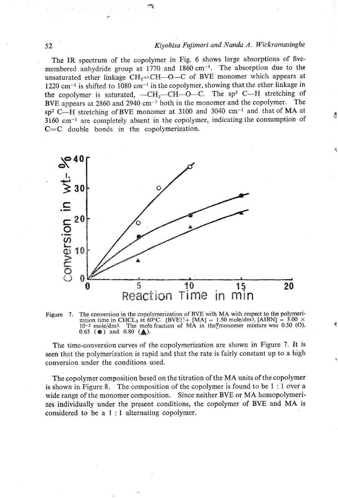# **52** *Kiyohisa Fqimori and Nanda A. Wickramasinghe*

Â

The IR spectrum of the copolymer in Fig. *6* shows large absorptions of fivemembered anhydride group at 1770 and 1860 cm<sup>-1</sup>. The absorption due to the unsaturated ether linkage CH<sub>2</sub>=CH-O-C of BVE monomer which appears at 1220 cm $^{-1}$  is shifted to 1080 cm $^{-1}$  in the copolymer, showing that the ether linkage in the copolymer is saturated, -CH<sub>2</sub>-CH-O-C. The sp<sup>3</sup> C-H stretching of **BVE** appears at 2860 and 2940 cm-I both in the monomer and the copolymer. The sp2 C-H stretching of **BVE** monomer at 3100 and 3040 cm-I and that of MA at **3160** cm-1 are completely absent in the copolymer, indicating the consumption of *C=C* double bonds in the copolymerization.





The time-conversion curves of the copolymerization are shown in Figure 7. It is seen that the polymerization is rapid and that the rate is fairly constant up to a high conversion under the conditions used.

The copolymer composition based on the titration of the MA units of the copolymer is shown in Figure 8. The composition of the copolymer is found to be 1 : 1 over a wide range of the monomer composition. Since neither BVE or MA homopolymerizes individually under the present conditions, the copolymer of BVE and MA is considered to be a 1 : 1 alternating copolymer.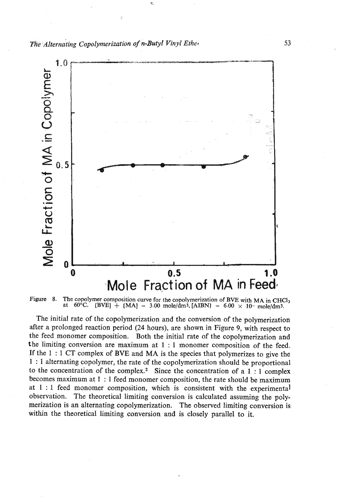*The Alternating Copolymerization of n-Butyl Vinyl Ether* **53 <b>53** 



Figure 8. The copolymer composition curve for the copolymerization of BVE with MA in CHCl<sub>3</sub> at 60°C. [BVE]  $+$  [MA] = 3.00 mole/dm<sup>3</sup>, [AIBN] = 6.00  $\times$  10<sup>-</sup> mole/dm<sup>3</sup>.

The initial rate of the copolymerization and the conversion of the polymerization after a prolonged reaction period (24 hours), are shown in Figure 9, with respect to the feed monomer composition. Both the initial rate of the copolymerization and the limiting conversion are maximum at 1 : 1 monomer composition of the feed. If the 1 : 1 CT complex of BVE and MA is the species that polymerizes to give the 1 : 1 alternating copolymer, the rate of the copolymerization should be proportional to the concentration of the complex.<sup>2</sup> Since the concentration of a  $1:1$  complex becomes maximum at 1 : 1 feed monomer composition, the rate should be maximum at 1 : 1 feed monomer composition, which is consistent with the experimental observation. The theoretical limiting conversion is calculated assuming the polymerization is an alternating copolymerization. The observed limiting conversion is within the theoretical limiting conversion and is closely parallel to it.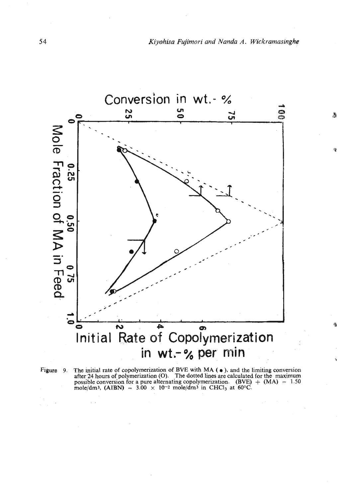